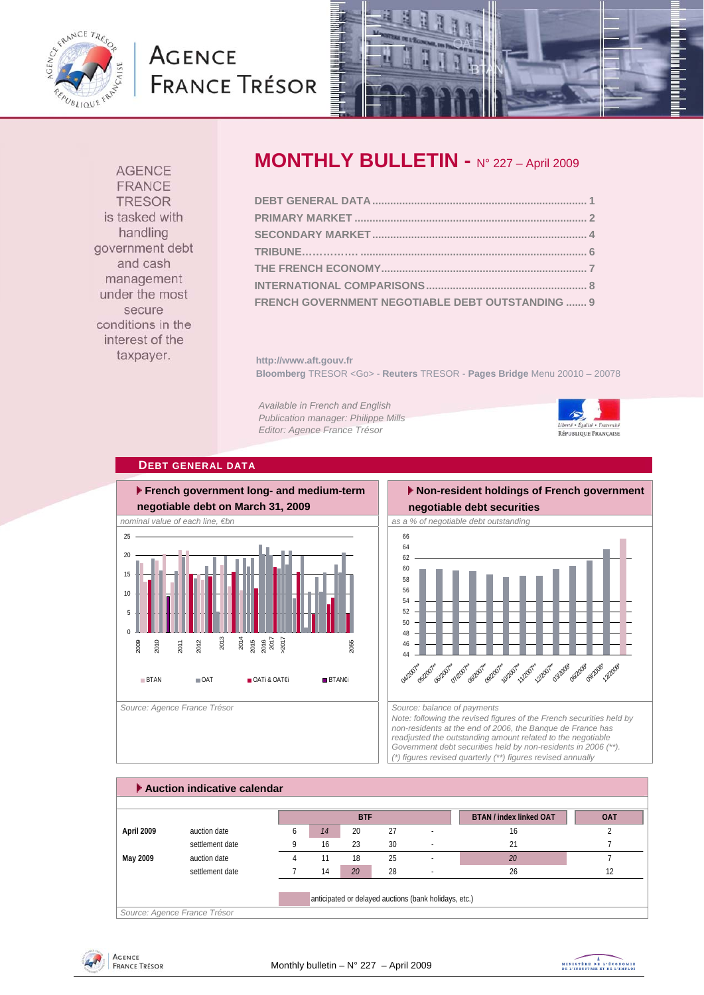

# **AGENCE FRANCE TRÉSOR**



**AGENCE** FRANCE **TRESOR** is tasked with handling government debt and cash management under the most secure conditions in the interest of the taxpayer.

## **MONTHLY BULLETIN -** N° 227 – April 2009

| FRENCH GOVERNMENT NEGOTIABLE DEBT OUTSTANDING  9 |  |
|--------------------------------------------------|--|

**http://www.aft.gouv.fr Bloomberg** TRESOR <Go> - **Reuters** TRESOR - **Pages Bridge** Menu 20010 – 20078

*Available in French and English Publication manager: Philippe Mills Editor: Agence France Trésor* 



### **DEBT GENERAL DATA**



### **Non-resident holdings of French government negotiable debt securities**



*Note: following the revised figures of the French securities held by non-residents at the end of 2006, the Banque de France has readjusted the outstanding amount related to the negotiable Government debt securities held by non-residents in 2006 (\*\*). (\*) figures revised quarterly (\*\*) figures revised annually* 

|            |                 |   |    | <b>BTF</b>      |    |                | <b>BTAN / index linked OAT</b> | <b>OAT</b> |
|------------|-----------------|---|----|-----------------|----|----------------|--------------------------------|------------|
| April 2009 | auction date    | 6 | 14 | 20              | 27 | $\overline{a}$ | 16                             |            |
|            | settlement date |   | 16 | 23              | 30 |                | 21                             |            |
| May 2009   | auction date    |   |    | 18              | 25 | ٠.             | 20                             |            |
|            | settlement date |   | 14 | 20 <sup>7</sup> | 28 | ٠.             | 26                             |            |



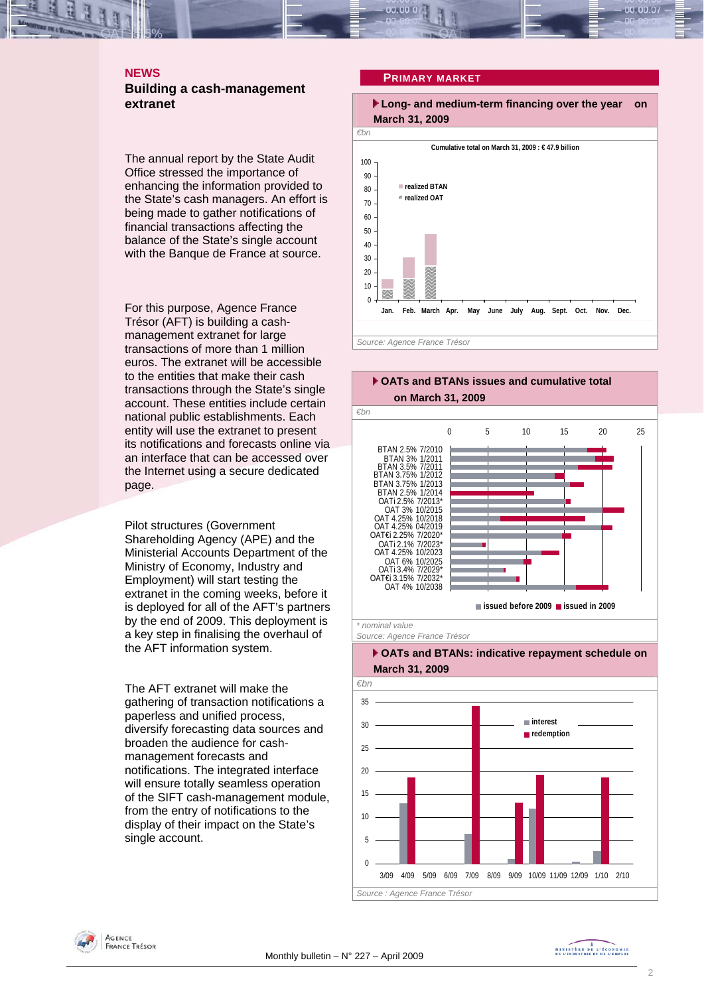## **NEWS**

## **Building a cash-management extranet**

The annual report by the State Audit Office stressed the importance of enhancing the information provided to the State's cash managers. An effort is being made to gather notifications of financial transactions affecting the balance of the State's single account with the Banque de France at source.

For this purpose, Agence France Trésor (AFT) is building a cashmanagement extranet for large transactions of more than 1 million euros. The extranet will be accessible to the entities that make their cash transactions through the State's single account. These entities include certain national public establishments. Each entity will use the extranet to present its notifications and forecasts online via an interface that can be accessed over the Internet using a secure dedicated page.

Pilot structures (Government Shareholding Agency (APE) and the Ministerial Accounts Department of the Ministry of Economy, Industry and Employment) will start testing the extranet in the coming weeks, before it is deployed for all of the AFT's partners by the end of 2009. This deployment is a key step in finalising the overhaul of the AFT information system.

The AFT extranet will make the gathering of transaction notifications a paperless and unified process, diversify forecasting data sources and broaden the audience for cashmanagement forecasts and notifications. The integrated interface will ensure totally seamless operation of the SIFT cash-management module, from the entry of notifications to the display of their impact on the State's single account.

#### **PRIMARY MARKET**





**AGENCE FRANCE TRÉSOR**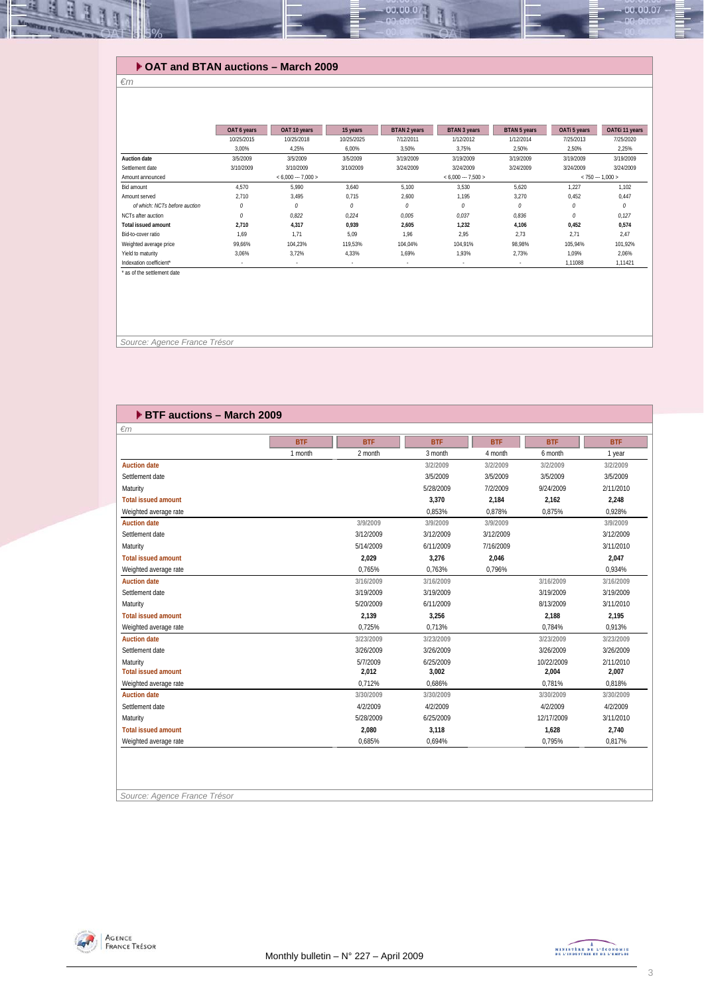## **OAT and BTAN auctions – March 2009**

#### *€m*

ᆁ R

**BE DE 1-9** 

|                               | OAT 6 years | OAT 10 years        | 15 years                 | <b>BTAN 2 years</b> | <b>BTAN 3 years</b>  | <b>BTAN 5 years</b> | OATi 5 years | OAT€i 11 years    |
|-------------------------------|-------------|---------------------|--------------------------|---------------------|----------------------|---------------------|--------------|-------------------|
|                               | 10/25/2015  | 10/25/2018          | 10/25/2025               | 7/12/2011           | 1/12/2012            | 1/12/2014           | 7/25/2013    | 7/25/2020         |
|                               | 3.00%       | 4,25%               | 6,00%                    | 3,50%               | 3,75%                | 2,50%               | 2,50%        | 2,25%             |
| <b>Auction date</b>           | 3/5/2009    | 3/5/2009            | 3/5/2009                 | 3/19/2009           | 3/19/2009            | 3/19/2009           | 3/19/2009    | 3/19/2009         |
| Settlement date               | 3/10/2009   | 3/10/2009           | 3/10/2009                | 3/24/2009           | 3/24/2009            | 3/24/2009           | 3/24/2009    | 3/24/2009         |
| Amount announced              |             | $< 6.000 - 7.000 >$ |                          |                     | $< 6.000 -- 7.500 >$ |                     |              | $< 750 - 1.000 >$ |
| Bid amount                    | 4.570       | 5.990               | 3.640                    | 5,100               | 3,530                | 5,620               | 1,227        | 1,102             |
| Amount served                 | 2.710       | 3,495               | 0,715                    | 2,600               | 1,195                | 3,270               | 0,452        | 0,447             |
| of which: NCTs before auction | 0           | 0                   | 0                        | 0                   | 0                    | 0                   | 0            | 0                 |
| NCTs after auction            | $\theta$    | 0.822               | 0.224                    | 0.005               | 0.037                | 0.836               | $\mathcal O$ | 0,127             |
| <b>Total issued amount</b>    | 2.710       | 4,317               | 0.939                    | 2,605               | 1,232                | 4,106               | 0.452        | 0,574             |
| Bid-to-cover ratio            | 1.69        | 1.71                | 5.09                     | 1.96                | 2.95                 | 2.73                | 2.71         | 2.47              |
| Weighted average price        | 99.66%      | 104.23%             | 119.53%                  | 104.04%             | 104.91%              | 98.98%              | 105.94%      | 101,92%           |
| Yield to maturity             | 3.06%       | 3.72%               | 4,33%                    | 1.69%               | 1.93%                | 2.73%               | 1.09%        | 2,06%             |
| Indexation coefficient*       |             |                     | $\overline{\phantom{a}}$ |                     | ٠                    | ٠                   | 1,11088      | 1,11421           |
| * as of the settlement date   |             |                     |                          |                     |                      |                     |              |                   |
|                               |             |                     |                          |                     |                      |                     |              |                   |

 $0.00.00$ 

 *Source: Agence France Trésor* 

| <b>BTF auctions - March 2009</b> |            |            |            |            |            |            |
|----------------------------------|------------|------------|------------|------------|------------|------------|
| $\epsilon$ m                     |            |            |            |            |            |            |
|                                  | <b>BTF</b> | <b>BTF</b> | <b>BTF</b> | <b>BTF</b> | <b>BTF</b> | <b>BTF</b> |
|                                  | 1 month    | 2 month    | 3 month    | 4 month    | 6 month    | 1 year     |
| <b>Auction date</b>              |            |            | 3/2/2009   | 3/2/2009   | 3/2/2009   | 3/2/2009   |
| Settlement date                  |            |            | 3/5/2009   | 3/5/2009   | 3/5/2009   | 3/5/2009   |
| Maturity                         |            |            | 5/28/2009  | 7/2/2009   | 9/24/2009  | 2/11/2010  |
| <b>Total issued amount</b>       |            |            | 3,370      | 2,184      | 2,162      | 2,248      |
| Weighted average rate            |            |            | 0,853%     | 0,878%     | 0,875%     | 0,928%     |
| <b>Auction date</b>              |            | 3/9/2009   | 3/9/2009   | 3/9/2009   |            | 3/9/2009   |
| Settlement date                  |            | 3/12/2009  | 3/12/2009  | 3/12/2009  |            | 3/12/2009  |
| Maturity                         |            | 5/14/2009  | 6/11/2009  | 7/16/2009  |            | 3/11/2010  |
| <b>Total issued amount</b>       |            | 2,029      | 3,276      | 2,046      |            | 2,047      |
| Weighted average rate            |            | 0.765%     | 0.763%     | 0.796%     |            | 0.934%     |
| <b>Auction date</b>              |            | 3/16/2009  | 3/16/2009  |            | 3/16/2009  | 3/16/2009  |
| Settlement date                  |            | 3/19/2009  | 3/19/2009  |            | 3/19/2009  | 3/19/2009  |
| Maturity                         |            | 5/20/2009  | 6/11/2009  |            | 8/13/2009  | 3/11/2010  |
| <b>Total issued amount</b>       |            | 2,139      | 3,256      |            | 2,188      | 2,195      |
| Weighted average rate            |            | 0.725%     | 0.713%     |            | 0.784%     | 0.913%     |
| <b>Auction date</b>              |            | 3/23/2009  | 3/23/2009  |            | 3/23/2009  | 3/23/2009  |
| Settlement date                  |            | 3/26/2009  | 3/26/2009  |            | 3/26/2009  | 3/26/2009  |
| Maturity                         |            | 5/7/2009   | 6/25/2009  |            | 10/22/2009 | 2/11/2010  |
| <b>Total issued amount</b>       |            | 2,012      | 3,002      |            | 2,004      | 2,007      |
| Weighted average rate            |            | 0.712%     | 0.686%     |            | 0.781%     | 0.818%     |
| <b>Auction date</b>              |            | 3/30/2009  | 3/30/2009  |            | 3/30/2009  | 3/30/2009  |
| Settlement date                  |            | 4/2/2009   | 4/2/2009   |            | 4/2/2009   | 4/2/2009   |
| Maturity                         |            | 5/28/2009  | 6/25/2009  |            | 12/17/2009 | 3/11/2010  |
| <b>Total issued amount</b>       |            | 2,080      | 3,118      |            | 1,628      | 2.740      |
| Weighted average rate            |            | 0,685%     | 0,694%     |            | 0,795%     | 0.817%     |
|                                  |            |            |            |            |            |            |

*Source: Agence France Trésor* 



 $-00.00.07$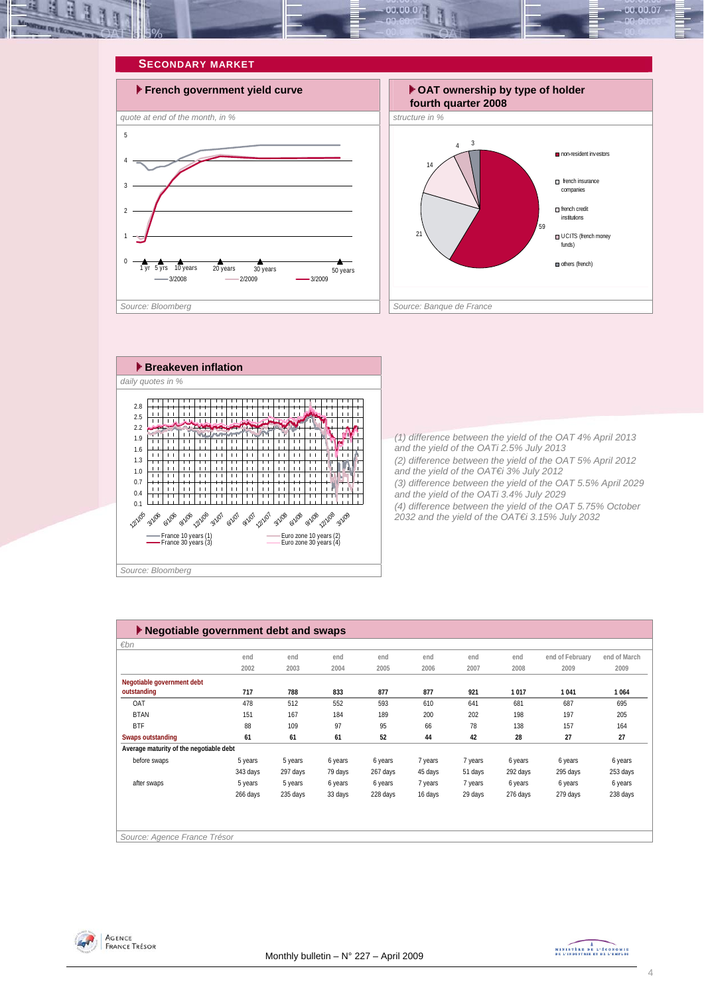

#### **SECONDARY MARKET**







*(1) difference between the yield of the OAT 4% April 2013 and the yield of the OATi 2.5% July 2013 (2) difference between the yield of the OAT 5% April 2012 and the yield of the OAT€i 3% July 2012 (3) difference between the yield of the OAT 5.5% April 2029 and the yield of the OATi 3.4% July 2029 (4) difference between the yield of the OAT 5.75% October 2032 and the yield of the OAT€i 3.15% July 2032* 

| $\blacktriangleright$ Negotiable government debt and swaps |          |          |         |          |         |         |          |                 |              |  |  |
|------------------------------------------------------------|----------|----------|---------|----------|---------|---------|----------|-----------------|--------------|--|--|
| €bn                                                        |          |          |         |          |         |         |          |                 |              |  |  |
|                                                            | end      | end      | end     | end      | end     | end     | end      | end of February | end of March |  |  |
|                                                            | 2002     | 2003     | 2004    | 2005     | 2006    | 2007    | 2008     | 2009            | 2009         |  |  |
| Negotiable government debt                                 |          |          |         |          |         |         |          |                 |              |  |  |
| outstanding                                                | 717      | 788      | 833     | 877      | 877     | 921     | 1017     | 1041            | 1064         |  |  |
| OAT                                                        | 478      | 512      | 552     | 593      | 610     | 641     | 681      | 687             | 695          |  |  |
| <b>BTAN</b>                                                | 151      | 167      | 184     | 189      | 200     | 202     | 198      | 197             | 205          |  |  |
| <b>BTF</b>                                                 | 88       | 109      | 97      | 95       | 66      | 78      | 138      | 157             | 164          |  |  |
| <b>Swaps outstanding</b>                                   | 61       | 61       | 61      | 52       | 44      | 42      | 28       | 27              | 27           |  |  |
| Average maturity of the negotiable debt                    |          |          |         |          |         |         |          |                 |              |  |  |
| before swaps                                               | 5 years  | 5 years  | 6 years | 6 years  | 7 years | 7 years | 6 years  | 6 years         | 6 years      |  |  |
|                                                            | 343 days | 297 days | 79 days | 267 days | 45 days | 51 days | 292 days | 295 days        | 253 days     |  |  |
| after swaps                                                | 5 years  | 5 years  | 6 years | 6 years  | 7 years | 7 years | 6 years  | 6 years         | 6 years      |  |  |
|                                                            | 266 days | 235 days | 33 days | 228 days | 16 days | 29 days | 276 days | 279 days        | 238 days     |  |  |
|                                                            |          |          |         |          |         |         |          |                 |              |  |  |
|                                                            |          |          |         |          |         |         |          |                 |              |  |  |
|                                                            |          |          |         |          |         |         |          |                 |              |  |  |
| Source: Agence France Trésor                               |          |          |         |          |         |         |          |                 |              |  |  |



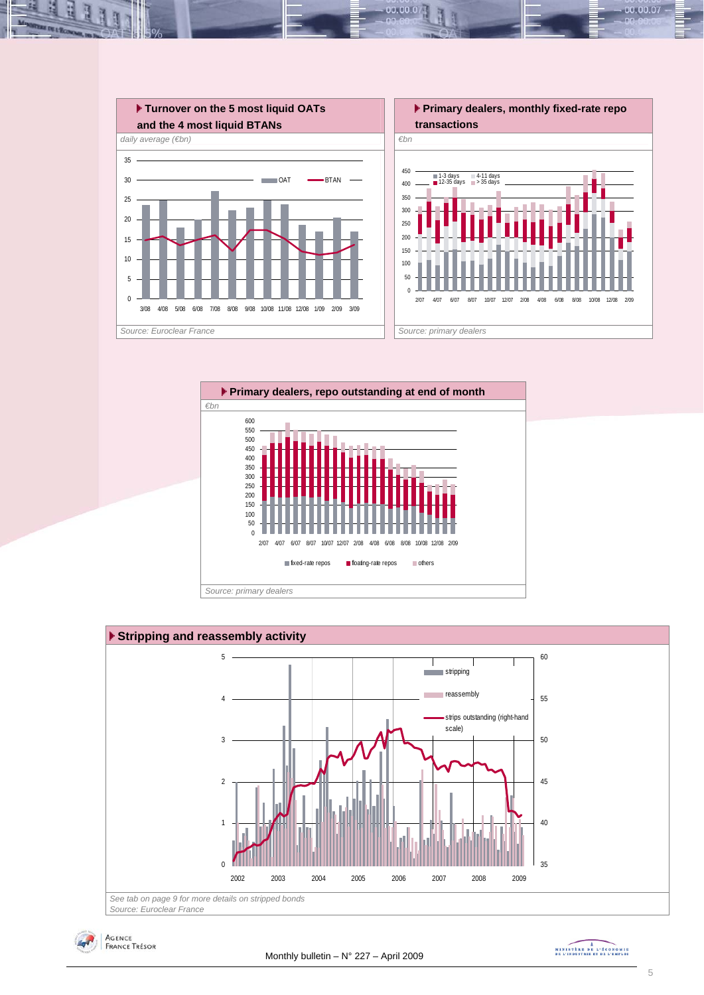

 $00.00.0$ 







MINISTREE DE L'ÉCONOMIE

00.00.07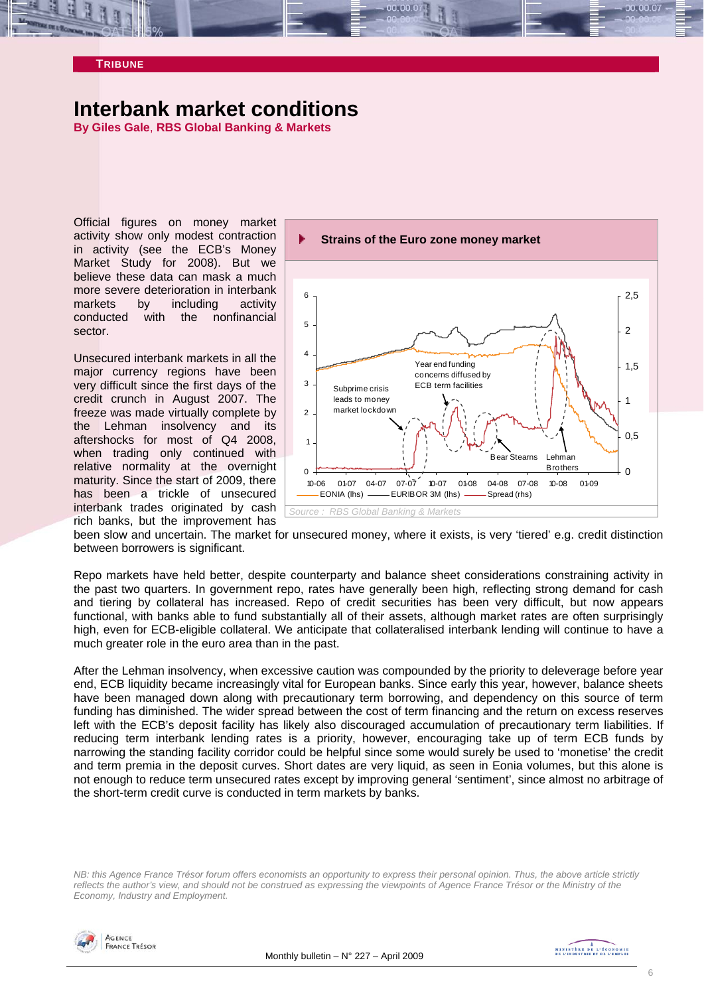#### **TRIBUNE**

## **Interbank market conditions**

**By Giles Gale**, **RBS Global Banking & Markets** 

Official figures on money market activity show only modest contraction in activity (see the ECB's Money Market Study for 2008). But we believe these data can mask a much more severe deterioration in interbank markets by including activity conducted with the nonfinancial sector.

Unsecured interbank markets in all the major currency regions have been very difficult since the first days of the credit crunch in August 2007. The freeze was made virtually complete by the Lehman insolvency and its aftershocks for most of Q4 2008, when trading only continued with relative normality at the overnight maturity. Since the start of 2009, there has been a trickle of unsecured interbank trades originated by cash rich banks, but the improvement has



been slow and uncertain. The market for unsecured money, where it exists, is very 'tiered' e.g. credit distinction between borrowers is significant.

Repo markets have held better, despite counterparty and balance sheet considerations constraining activity in the past two quarters. In government repo, rates have generally been high, reflecting strong demand for cash and tiering by collateral has increased. Repo of credit securities has been very difficult, but now appears functional, with banks able to fund substantially all of their assets, although market rates are often surprisingly high, even for ECB-eligible collateral. We anticipate that collateralised interbank lending will continue to have a much greater role in the euro area than in the past.

After the Lehman insolvency, when excessive caution was compounded by the priority to deleverage before year end, ECB liquidity became increasingly vital for European banks. Since early this year, however, balance sheets have been managed down along with precautionary term borrowing, and dependency on this source of term funding has diminished. The wider spread between the cost of term financing and the return on excess reserves left with the ECB's deposit facility has likely also discouraged accumulation of precautionary term liabilities. If reducing term interbank lending rates is a priority, however, encouraging take up of term ECB funds by narrowing the standing facility corridor could be helpful since some would surely be used to 'monetise' the credit and term premia in the deposit curves. Short dates are very liquid, as seen in Eonia volumes, but this alone is not enough to reduce term unsecured rates except by improving general 'sentiment', since almost no arbitrage of the short-term credit curve is conducted in term markets by banks.

*NB: this Agence France Trésor forum offers economists an opportunity to express their personal opinion. Thus, the above article strictly reflects the author's view, and should not be construed as expressing the viewpoints of Agence France Trésor or the Ministry of the Economy, Industry and Employment.* 



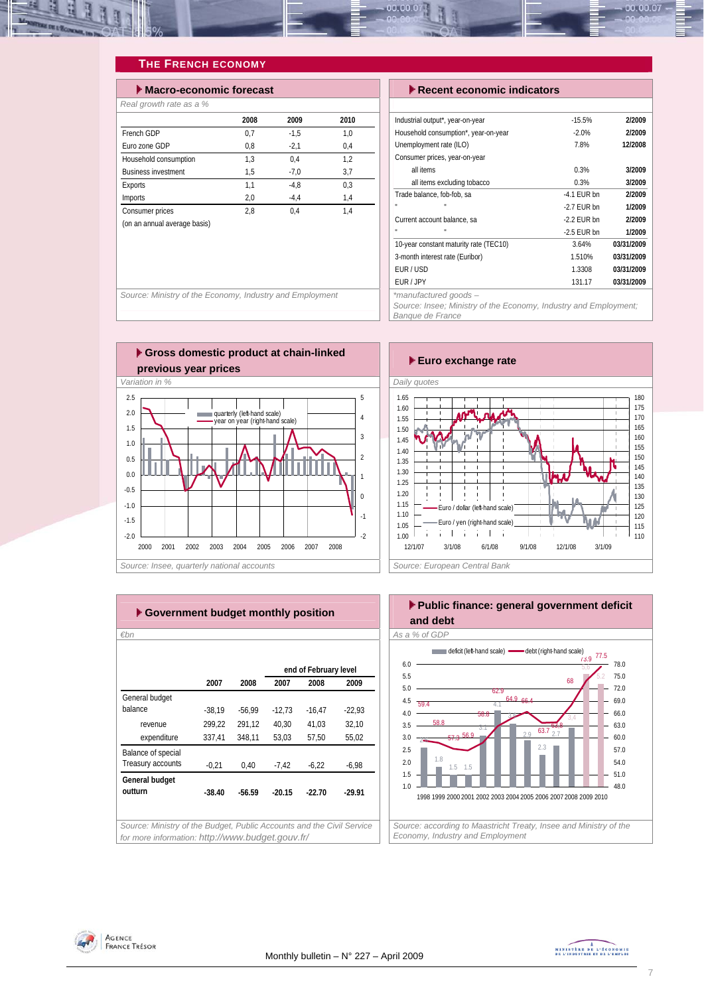

## **THE FRENCH ECONOMY**

| $\blacktriangleright$ Macro-economic forecast |      |        |      |  |  |  |  |  |  |  |
|-----------------------------------------------|------|--------|------|--|--|--|--|--|--|--|
| Real growth rate as a %                       |      |        |      |  |  |  |  |  |  |  |
|                                               | 2008 | 2009   | 2010 |  |  |  |  |  |  |  |
| French GDP                                    | 0,7  | $-1.5$ | 1,0  |  |  |  |  |  |  |  |
| Furo zone GDP                                 | 0.8  | $-2,1$ | 0.4  |  |  |  |  |  |  |  |
| Household consumption                         | 1.3  | 0.4    | 1.2  |  |  |  |  |  |  |  |
| <b>Business investment</b>                    | 1,5  | $-7.0$ | 3,7  |  |  |  |  |  |  |  |
| Exports                                       | 1,1  | $-4.8$ | 0.3  |  |  |  |  |  |  |  |
| <b>Imports</b>                                | 2,0  | $-4.4$ | 1,4  |  |  |  |  |  |  |  |
| Consumer prices                               | 2.8  | 0.4    | 1.4  |  |  |  |  |  |  |  |
| (on an annual average basis)                  |      |        |      |  |  |  |  |  |  |  |

#### **Execent economic indicators**

| Industrial output*, year-on-year       | $-15.5%$      | 2/2009     |
|----------------------------------------|---------------|------------|
| Household consumption*, year-on-year   | $-2.0%$       | 2/2009     |
| Unemployment rate (ILO)                | 7.8%          | 12/2008    |
| Consumer prices, year-on-year          |               |            |
| all items                              | 0.3%          | 3/2009     |
| all items excluding tobacco            | 0.3%          | 3/2009     |
| Trade balance, fob-fob, sa             | $-4.1$ FUR bn | 2/2009     |
| п                                      | $-2.7$ FUR bn | 1/2009     |
| Current account balance, sa            | $-2.2$ FUR bn | 2/2009     |
| п                                      | $-2.5$ FUR bn | 1/2009     |
| 10-year constant maturity rate (TEC10) | 3.64%         | 03/31/2009 |
| 3-month interest rate (Euribor)        | 1.510%        | 03/31/2009 |
| EUR/USD                                | 1.3308        | 03/31/2009 |
| EUR / JPY                              | 131.17        | 03/31/2009 |
| *manufactured goods —                  |               |            |

*Source: Insee; Ministry of the Economy, Industry and Employment; Banque de France* 



2000 2001 2002 2003 2004 2005 2006 2007 2008

Source: Ministry of the Economy, Industry and Employment



| €bn                |          |          |          |                       |          |
|--------------------|----------|----------|----------|-----------------------|----------|
|                    |          |          |          | end of February level |          |
|                    | 2007     | 2008     | 2007     | 2008                  | 2009     |
| General budget     |          |          |          |                       |          |
| balance            | $-38.19$ | $-56.99$ | $-12,73$ | $-16,47$              | $-22,93$ |
| revenue            | 299,22   | 291,12   | 40,30    | 41,03                 | 32,10    |
| expenditure        | 337,41   | 348,11   | 53,03    | 57,50                 | 55,02    |
| Balance of special |          |          |          |                       |          |
| Treasury accounts  | $-0,21$  | 0,40     | $-7,42$  | $-6,22$               | $-6,98$  |
| General budget     |          |          |          |                       |          |
| outturn            | $-38.40$ | $-56.59$ | $-20.15$ | $-22.70$              | $-29.91$ |
|                    |          |          |          |                       |          |



 $-2.0$ -1.5  $\overline{2}$ -1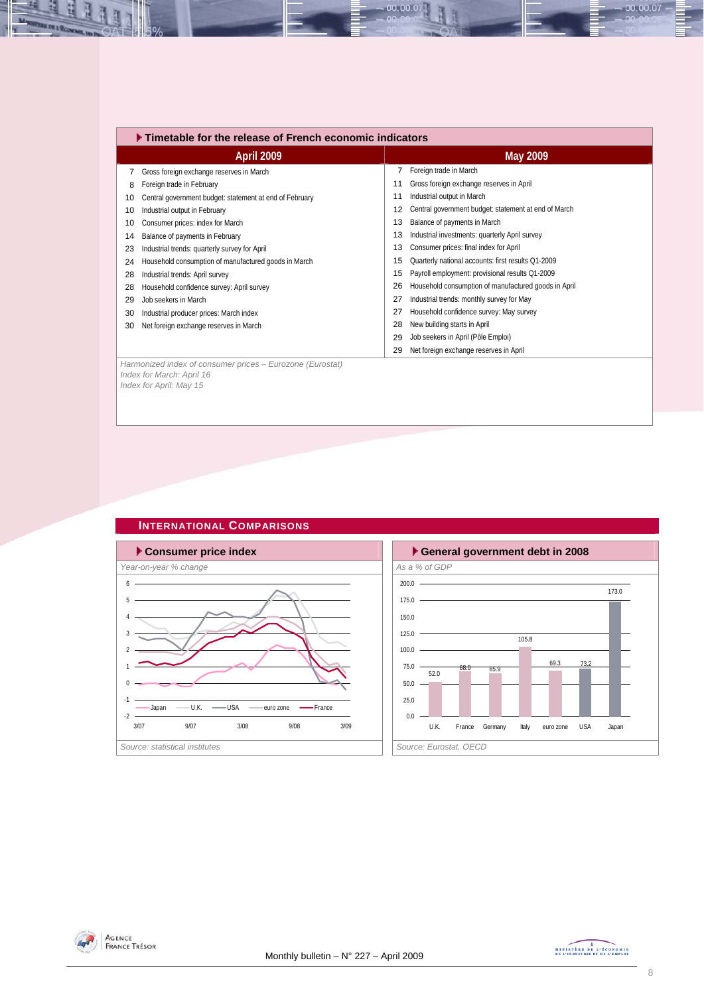|    | $\blacktriangleright$ Timetable for the release of French economic indicators                                     |    |                                                      |  |  |  |  |  |
|----|-------------------------------------------------------------------------------------------------------------------|----|------------------------------------------------------|--|--|--|--|--|
|    | April 2009                                                                                                        |    | <b>May 2009</b>                                      |  |  |  |  |  |
| 7  | Gross foreign exchange reserves in March                                                                          |    | Foreign trade in March                               |  |  |  |  |  |
| 8  | Foreign trade in February                                                                                         | 11 | Gross foreign exchange reserves in April             |  |  |  |  |  |
| 10 | Central government budget: statement at end of February                                                           | 11 | Industrial output in March                           |  |  |  |  |  |
| 10 | Industrial output in February                                                                                     | 12 | Central government budget: statement at end of March |  |  |  |  |  |
| 10 | Consumer prices: index for March                                                                                  | 13 | Balance of payments in March                         |  |  |  |  |  |
| 14 | Balance of payments in February                                                                                   | 13 | Industrial investments: quarterly April survey       |  |  |  |  |  |
| 23 | Industrial trends: quarterly survey for April                                                                     | 13 | Consumer prices: final index for April               |  |  |  |  |  |
| 24 | Household consumption of manufactured goods in March                                                              | 15 | Quarterly national accounts: first results Q1-2009   |  |  |  |  |  |
| 28 | Industrial trends: April survey                                                                                   | 15 | Payroll employment: provisional results Q1-2009      |  |  |  |  |  |
| 28 | Household confidence survey: April survey                                                                         | 26 | Household consumption of manufactured goods in April |  |  |  |  |  |
| 29 | Job seekers in March                                                                                              | 27 | Industrial trends: monthly survey for May            |  |  |  |  |  |
| 30 | Industrial producer prices: March index                                                                           | 27 | Household confidence survey: May survey              |  |  |  |  |  |
| 30 | Net foreign exchange reserves in March                                                                            | 28 | New building starts in April                         |  |  |  |  |  |
|    |                                                                                                                   | 29 | Job seekers in April (Pôle Emploi)                   |  |  |  |  |  |
|    |                                                                                                                   | 29 | Net foreign exchange reserves in April               |  |  |  |  |  |
|    | Harmonized index of consumer prices - Eurozone (Eurostat)<br>Index for March: April 16<br>Index for April: May 15 |    |                                                      |  |  |  |  |  |

00.00.07



## **INTERNATIONAL COMPARISONS**





즤 Щ  $\mathbf{H}$   $-00.00.07 -$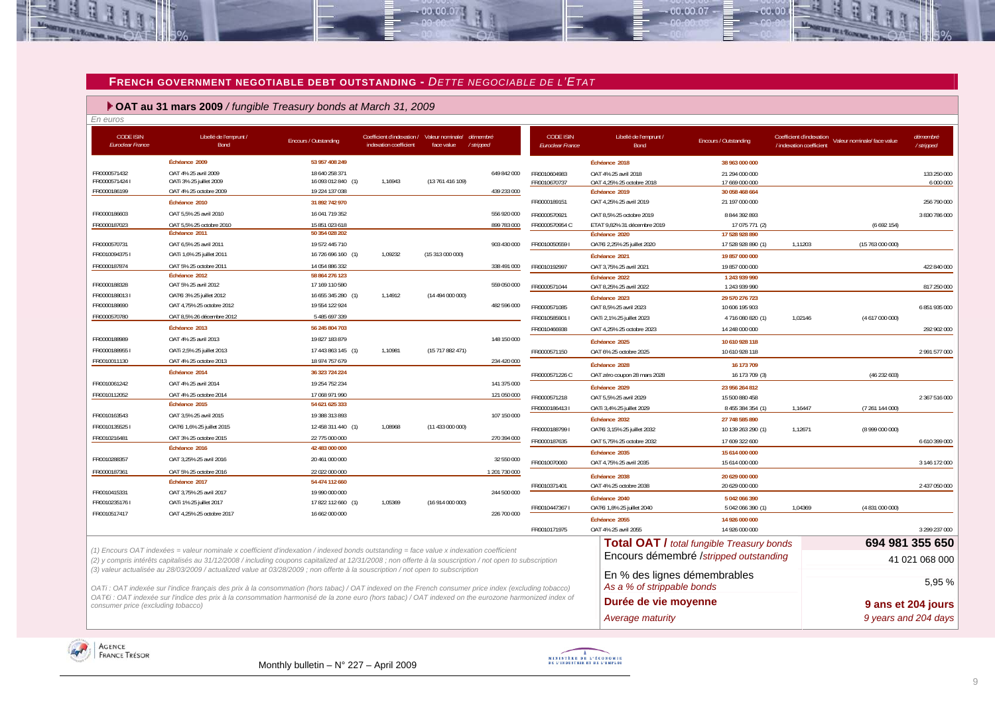#### **FRENCH GOVERNMENT NEGOTIABLE DEBT OUTSTANDING -** *DETTE NEGOCIABLE DE L'ETAT*

 $-00,00,07$ 

## **OAT au 31 mars 2009** */ fungible Treasury bonds at March 31, 2009*

| En euros                                    |                                                                                                                                                           |                                      |                                                                       |                  |                       |                                             |                                                          |                                                  |                                                                                     |                          |
|---------------------------------------------|-----------------------------------------------------------------------------------------------------------------------------------------------------------|--------------------------------------|-----------------------------------------------------------------------|------------------|-----------------------|---------------------------------------------|----------------------------------------------------------|--------------------------------------------------|-------------------------------------------------------------------------------------|--------------------------|
| <b>CODE ISIN</b><br><b>Euroclear France</b> | Libellé de l'emprunt /<br>Bond                                                                                                                            | Encours / Outstanding                | Coefficient d'indexation / Valeur nominale/<br>indexation coefficient | face value       | démembré<br>/stripped | <b>CODE ISIN</b><br><b>Euroclear France</b> | Libellé de l'emprunt /<br><b>Bond</b>                    | Encours / Outstanding                            | Coefficient d'indexation<br>Valeur nominale/ face value<br>/ indexation coefficient | démembré<br>/stripped    |
|                                             | Échéance 2009                                                                                                                                             | 53 957 408 249                       |                                                                       |                  |                       |                                             | Échéance 2018                                            | 38 963 000 000                                   |                                                                                     |                          |
| FR0000571432<br>FR00005714241               | OAT 4% 25 avril 2009<br>OATi 3% 25 juillet 2009                                                                                                           | 18 640 258 371<br>16 093 012 840 (1) | 1,16943                                                               | (13 761 416 109) | 649 842 000           | FR0010604983<br>FR0010670737                | OAT 4% 25 avril 2018<br>OAT 4,25% 25 octobre 2018        | 21 294 000 000<br>17 669 000 000                 |                                                                                     | 133 250 000<br>6 000 000 |
| FR0000186199                                | OAT 4% 25 octobre 2009                                                                                                                                    | 19 224 137 038                       |                                                                       |                  | 439 233 000           |                                             | Échéance 2019                                            | 30 058 468 664                                   |                                                                                     |                          |
|                                             | Échéance 2010                                                                                                                                             | 31 892 742 970                       |                                                                       |                  |                       | FR0000189151                                | OAT 4,25% 25 avril 2019                                  | 21 197 000 000                                   |                                                                                     | 256 790 000              |
| FR0000186603                                | OAT 5,5% 25 avril 2010                                                                                                                                    | 16 041 719 352                       |                                                                       |                  | 556 920 000           | FR0000570921                                | OAT 8.5% 25 octobre 2019                                 | 8 844 392 893                                    |                                                                                     | 3 830 786 000            |
| FR0000187023                                | OAT 5.5% 25 octobre 2010                                                                                                                                  | 15 851 023 618                       |                                                                       |                  | 899 783 000           | FR0000570954 C                              | ETAT 9,82% 31 décembre 2019                              | 17 075 771 (2)                                   | (6692154)                                                                           |                          |
|                                             | Échéance 2011                                                                                                                                             | 50 354 028 202                       |                                                                       |                  |                       |                                             | Échéance 2020                                            | 17 528 928 890                                   |                                                                                     |                          |
| FR0000570731                                | OAT 6,5% 25 avril 2011                                                                                                                                    | 19 572 445 710                       |                                                                       |                  | 903 430 000           | FR0010050559                                | OAT€i 2,25% 25 juillet 2020                              | 17 528 928 890 (1                                | 1,11203<br>(15763000000)                                                            |                          |
| FR00100943751                               | OATi 1,6% 25 juillet 2011                                                                                                                                 | 16 726 696 160 (1)                   | 1,09232                                                               | (15 313 000 000) |                       |                                             | Échéance 2021                                            | 19 857 000 000                                   |                                                                                     |                          |
| FR0000187874                                | OAT 5% 25 octobre 2011                                                                                                                                    | 14 054 886 332                       |                                                                       |                  | 338 491 000           | FR0010192997                                | OAT 3.75% 25 avril 2021                                  | 19 857 000 000                                   |                                                                                     | 422 840 000              |
|                                             | Échéance 2012<br>OAT 5% 25 avril 2012                                                                                                                     | 58 864 276 123<br>17 169 110 580     |                                                                       |                  | 559 050 000           |                                             | Échéance 2022                                            | 1 243 939 990                                    |                                                                                     |                          |
| FR0000188328<br>FR00001880131               | OATEi 3% 25 juillet 2012                                                                                                                                  | 16 655 345 280 (1)                   | 1,14912                                                               | (14 494 000 000) |                       | FR0000571044                                | OAT 8,25% 25 avril 2022                                  | 1 243 939 990                                    |                                                                                     | 817 250 000              |
| FR0000188690                                | OAT 4,75% 25 octobre 2012                                                                                                                                 | 19 554 122 924                       |                                                                       |                  | 482 596 000           | FR0000571085                                | Échéance 2023                                            | 29 570 276 723<br>10 606 195 903                 |                                                                                     | 6 851 935 000            |
| FR0000570780                                | OAT 8,5% 26 décembre 2012                                                                                                                                 | 5 485 697 339                        |                                                                       |                  |                       | FR0010585901 I                              | OAT 8,5% 25 avril 2023<br>OATi 2,1% 25 juillet 2023      | 4716 080 820 (1)                                 | 1,02146<br>(4617000000)                                                             |                          |
|                                             | Échéance 2013                                                                                                                                             | 56 245 804 703                       |                                                                       |                  |                       |                                             | OAT 4.25% 25 octobre 2023                                | 14 248 000 000                                   |                                                                                     |                          |
| FR0000188989                                | OAT 4% 25 avril 2013                                                                                                                                      | 19 827 183 879                       |                                                                       |                  | 148 150 000           | FR0010466938                                |                                                          |                                                  |                                                                                     | 292 902 000              |
| FR00001889551                               | OATi 2,5% 25 juillet 2013                                                                                                                                 | 17 443 863 145 (1)                   | 1,10981                                                               | (15717882471)    |                       |                                             | Échéance 2025                                            | 10 610 928 118                                   |                                                                                     |                          |
| FR0010011130                                | OAT 4% 25 octobre 2013                                                                                                                                    | 18 974 757 679                       |                                                                       |                  | 234 420 000           | FR0000571150                                | OAT 6% 25 octobre 2025                                   | 10 610 928 118                                   |                                                                                     | 2 991 577 000            |
|                                             | Échéance 2014                                                                                                                                             | 36 323 724 224                       |                                                                       |                  |                       |                                             | Échéance 2028                                            | 16 173 709                                       |                                                                                     |                          |
| FR0010061242                                | OAT 4% 25 avril 2014                                                                                                                                      | 19 254 752 234                       |                                                                       |                  | 141 375 000           | FR0000571226 C                              | OAT zéro coupon 28 mars 2028                             | 16 173 709 (3)                                   | (46232603)                                                                          |                          |
| FR0010112052                                | OAT 4% 25 octobre 2014                                                                                                                                    | 17 068 971 990                       |                                                                       |                  | 121 050 000           |                                             | Échéance 2029                                            | 23 956 264 812                                   |                                                                                     |                          |
|                                             | Échéance 2015                                                                                                                                             | 54 621 625 333                       |                                                                       |                  |                       | FR0000571218                                | OAT 5,5% 25 avril 2029                                   | 15 500 880 458                                   |                                                                                     | 2 367 516 000            |
| FR0010163543                                | OAT 3,5% 25 avril 2015                                                                                                                                    | 19 388 313 893                       |                                                                       |                  | 107 150 000           | FR00001864131                               | OATi 3,4% 25 juillet 2029                                | 8 455 384 354 (1)                                | 1,16447<br>(7261144000)                                                             |                          |
| FR00101355251                               | OATEi 1,6% 25 juillet 2015                                                                                                                                | 12 458 311 440 (1)                   | 1,08968                                                               | (11 433 000 000) |                       | FR00001887991                               | Échéance 2032                                            | 27 748 585 890                                   | 1,12671<br>(8999000000)                                                             |                          |
| FR0010216481                                | OAT 3% 25 octobre 2015                                                                                                                                    | 22 775 000 000                       |                                                                       |                  | 270 394 000           | FR0000187635                                | OATEi 3,15% 25 juillet 2032<br>OAT 5,75% 25 octobre 2032 | 10 139 263 290 (1)<br>17 609 322 600             |                                                                                     | 6 610 399 000            |
|                                             | Échéance 2016                                                                                                                                             | 42 483 000 000                       |                                                                       |                  |                       |                                             |                                                          |                                                  |                                                                                     |                          |
| FR0010288357                                | OAT 3,25% 25 avril 2016                                                                                                                                   | 20 461 000 000                       |                                                                       |                  | 32 550 000            | FR0010070060                                | Échéance 2035<br>OAT 4,75% 25 avril 2035                 | 15 614 000 000<br>15 614 000 000                 |                                                                                     | 3 146 172 000            |
| FR0000187361                                | OAT 5% 25 octobre 2016                                                                                                                                    | 22 022 000 000                       |                                                                       |                  | 1 201 730 000         |                                             |                                                          |                                                  |                                                                                     |                          |
|                                             | Échéance 2017                                                                                                                                             | 54 474 112 660                       |                                                                       |                  |                       | FR0010371401                                | Échéance 2038<br>OAT 4% 25 octobre 2038                  | 20 629 000 000<br>20 629 000 000                 |                                                                                     |                          |
| FR0010415331                                | OAT 3,75% 25 avril 2017                                                                                                                                   | 19 990 000 000                       |                                                                       |                  | 244 500 000           |                                             |                                                          |                                                  |                                                                                     | 2 437 050 000            |
| FR00102351761                               | OATi 1% 25 juillet 2017                                                                                                                                   | 17 822 112 660 (1)                   | 1,05369                                                               | (16914000000)    |                       | FR00104473671                               | Échéance 2040<br>OATEi 1,8% 25 juillet 2040              | 5 042 066 390<br>5 042 066 390 (1)               | 1,04369<br>(4 831 000 000)                                                          |                          |
| FR0010517417                                | OAT 4,25% 25 octobre 2017                                                                                                                                 | 16 662 000 000                       |                                                                       |                  | 226 700 000           |                                             | Échéance 2055                                            |                                                  |                                                                                     |                          |
|                                             |                                                                                                                                                           |                                      |                                                                       |                  |                       | FR0010171975                                | OAT 4% 25 avril 2055                                     | 14 926 000 000<br>14 926 000 000                 |                                                                                     | 3 299 237 000            |
|                                             |                                                                                                                                                           |                                      |                                                                       |                  |                       |                                             |                                                          |                                                  |                                                                                     |                          |
|                                             | (1) Encours OAT indexées = valeur nominale x coefficient d'indexation / indexed bonds outstanding = face value x indexation coefficient                   |                                      |                                                                       |                  |                       |                                             |                                                          | <b>Total OAT / total fungible Treasury bonds</b> |                                                                                     | 694 981 355 650          |
|                                             | (2) y compris intérêts capitalisés au 31/12/2008 / including coupons capitalized at 12/31/2008 ; non offerte à la souscription / not open to subscription |                                      |                                                                       |                  |                       |                                             |                                                          | Encours démembré /stripped outstanding           |                                                                                     | 41 021 068 000           |
|                                             | (3) valeur actualisée au 28/03/2009 / actualized value at 03/28/2009 ; non offerte à la souscription / not open to subscription                           |                                      |                                                                       |                  |                       |                                             | En % des lignes démembrables                             |                                                  |                                                                                     |                          |
|                                             | OATi: OAT indexée sur l'indice français des prix à la consommation (hors tabac) / OAT indexed on the French consumer price index (excluding tobacco)      |                                      |                                                                       |                  |                       |                                             | As a % of strippable bonds                               |                                                  |                                                                                     | 5.95 %                   |
|                                             | OAT€i : OAT indexée sur l'indice des prix à la consommation harmonisé de la zone euro (hors tabac) / OAT indexed on the eurozone harmonized index of      |                                      |                                                                       |                  |                       |                                             | Durée de vie moyenne                                     |                                                  |                                                                                     |                          |
| consumer price (excluding tobacco)          |                                                                                                                                                           |                                      |                                                                       |                  |                       |                                             |                                                          |                                                  |                                                                                     | 9 ans et 204 jours       |
|                                             |                                                                                                                                                           |                                      |                                                                       |                  |                       |                                             | <b>Average maturity</b>                                  |                                                  |                                                                                     | 9 years and 204 days     |





 $00007$ 

nn nn